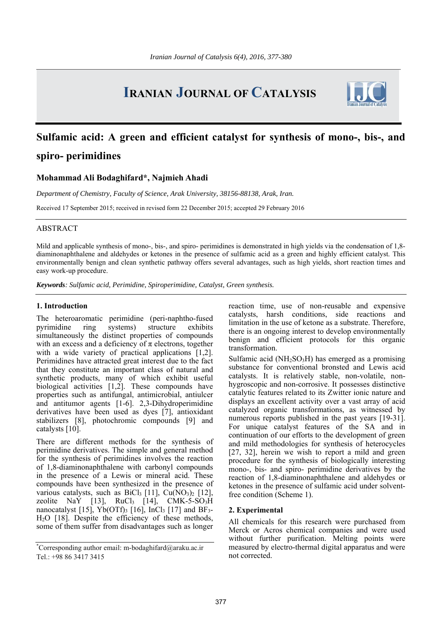# **IRANIAN JOURNAL OF CATALYSIS**



# **Sulfamic acid: A green and efficient catalyst for synthesis of mono-, bis-, and spiro- perimidines**

# **Mohammad Ali Bodaghifard\*, Najmieh Ahadi**

*Department of Chemistry, Faculty of Science, Arak University, 38156-88138, Arak, Iran.* 

Received 17 September 2015; received in revised form 22 December 2015; accepted 29 February 2016

## ABSTRACT

Mild and applicable synthesis of mono-, bis-, and spiro- perimidines is demonstrated in high yields via the condensation of 1,8 diaminonaphthalene and aldehydes or ketones in the presence of sulfamic acid as a green and highly efficient catalyst. This environmentally benign and clean synthetic pathway offers several advantages, such as high yields, short reaction times and easy work-up procedure.

*Keywords: Sulfamic acid, Perimidine, Spiroperimidine, Catalyst, Green synthesis.* 

### **1. Introduction**

The heteroaromatic perimidine (peri-naphtho-fused pyrimidine ring systems) structure exhibits simultaneously the distinct properties of compounds with an excess and a deficiency of  $\pi$  electrons, together with a wide variety of practical applications [1,2]. Perimidines have attracted great interest due to the fact that they constitute an important class of natural and synthetic products, many of which exhibit useful biological activities [1,2]. These compounds have properties such as antifungal, antimicrobial, antiulcer and antitumor agents [1-6]. 2,3-Dihydroperimidine derivatives have been used as dyes [7], antioxidant stabilizers [8], photochromic compounds [9] and catalysts [10].

There are different methods for the synthesis of perimidine derivatives. The simple and general method for the synthesis of perimidines involves the reaction of 1,8-diaminonaphthalene with carbonyl compounds in the presence of a Lewis or mineral acid. These compounds have been synthesized in the presence of various catalysts, such as  $BiCl<sub>3</sub>$  [11],  $Cu(NO<sub>3</sub>)<sub>2</sub>$  [12], zeolite NaY [13],  $RuCl<sub>3</sub>$  [14],  $CMK-5-SO<sub>3</sub>H$ nanocatalyst [15], Yb(OTf)<sub>3</sub> [16], InCl<sub>3</sub> [17] and BF<sub>3</sub>-H2O [18]. Despite the efficiency of these methods, some of them suffer from disadvantages such as longer

reaction time, use of non-reusable and expensive catalysts, harsh conditions, side reactions and limitation in the use of ketone as a substrate. Therefore, there is an ongoing interest to develop environmentally benign and efficient protocols for this organic transformation.

Sulfamic acid ( $NH<sub>2</sub>SO<sub>3</sub>H$ ) has emerged as a promising substance for conventional bronsted and Lewis acid catalysts. It is relatively stable, non-volatile, nonhygroscopic and non-corrosive. It possesses distinctive catalytic features related to its Zwitter ionic nature and displays an excellent activity over a vast array of acid catalyzed organic transformations, as witnessed by numerous reports published in the past years [19-31]. For unique catalyst features of the SA and in continuation of our efforts to the development of green and mild methodologies for synthesis of heterocycles [27, 32], herein we wish to report a mild and green procedure for the synthesis of biologically interesting mono-, bis- and spiro- perimidine derivatives by the reaction of 1,8-diaminonaphthalene and aldehydes or ketones in the presence of sulfamic acid under solventfree condition (Scheme 1).

#### **2. Experimental**

All chemicals for this research were purchased from Merck or Acros chemical companies and were used without further purification. Melting points were measured by electro-thermal digital apparatus and were not corrected.

<sup>\*</sup> Corresponding author email: m-bodaghifard@araku.ac.ir Tel.: +98 86 3417 3415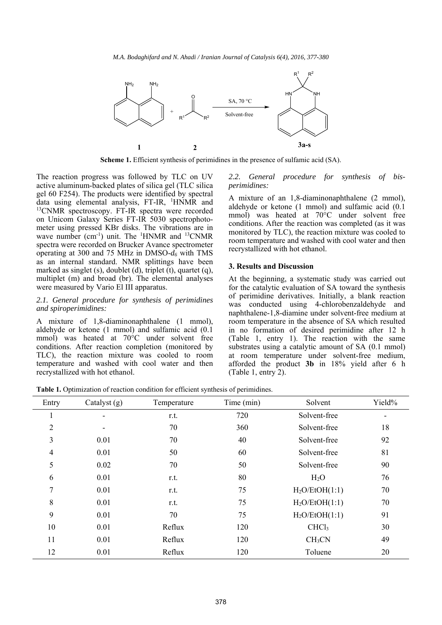

**Scheme 1.** Efficient synthesis of perimidines in the presence of sulfamic acid (SA).

The reaction progress was followed by TLC on UV active aluminum-backed plates of silica gel (TLC silica gel 60 F254). The products were identified by spectral data using elemental analysis, FT-IR, <sup>1</sup>HNMR and <sup>13</sup>CNMR spectroscopy. FT-IR spectra were recorded on Unicom Galaxy Series FT-IR 5030 spectrophotometer using pressed KBr disks. The vibrations are in wave number  $(cm^{-1})$  unit. The <sup>1</sup>HNMR and <sup>13</sup>CNMR spectra were recorded on Brucker Avance spectrometer operating at 300 and 75 MHz in DMSO-*d6* with TMS as an internal standard. NMR splittings have been marked as singlet (s), doublet (d), triplet (t), quartet (q), multiplet (m) and broad (br). The elemental analyses were measured by Vario El III apparatus.

#### *2.1. General procedure for synthesis of perimidines and spiroperimidines:*

A mixture of 1,8-diaminonaphthalene (1 mmol), aldehyde or ketone (1 mmol) and sulfamic acid (0.1 mmol) was heated at 70°C under solvent free conditions. After reaction completion (monitored by TLC), the reaction mixture was cooled to room temperature and washed with cool water and then recrystallized with hot ethanol.

#### *2.2. General procedure for synthesis of bisperimidines:*

A mixture of an 1,8-diaminonaphthalene (2 mmol), aldehyde or ketone (1 mmol) and sulfamic acid (0.1 mmol) was heated at 70°C under solvent free conditions. After the reaction was completed (as it was monitored by TLC), the reaction mixture was cooled to room temperature and washed with cool water and then recrystallized with hot ethanol.

#### **3. Results and Discussion**

At the beginning, a systematic study was carried out for the catalytic evaluation of SA toward the synthesis of perimidine derivatives. Initially, a blank reaction was conducted using 4-chlorobenzaldehyde and naphthalene-1,8-diamine under solvent-free medium at room temperature in the absence of SA which resulted in no formation of desired perimidine after 12 h (Table 1, entry 1). The reaction with the same substrates using a catalytic amount of SA (0.1 mmol) at room temperature under solvent-free medium, afforded the product **3b** in 18% yield after 6 h (Table 1, entry 2).

**Table 1.** Optimization of reaction condition for efficient synthesis of perimidines.

| Entry          | Catalyst $(g)$ | Temperature | Time (min) | Solvent                    | Yield% |
|----------------|----------------|-------------|------------|----------------------------|--------|
|                |                | r.t.        | 720        | Solvent-free               |        |
| $\overline{2}$ |                | 70          | 360        | Solvent-free               | 18     |
| 3              | 0.01           | 70          | 40         | Solvent-free               | 92     |
| 4              | 0.01           | 50          | 60         | Solvent-free               | 81     |
| 5              | 0.02           | 70          | 50         | Solvent-free               | 90     |
| 6              | 0.01           | r.t.        | 80         | H <sub>2</sub> O           | 76     |
| 7              | 0.01           | r.t.        | 75         | H <sub>2</sub> O/EtOH(1:1) | 70     |
| 8              | 0.01           | r.t.        | 75         | H <sub>2</sub> O/EtOH(1:1) | 70     |
| 9              | 0.01           | 70          | 75         | H <sub>2</sub> O/EtOH(1:1) | 91     |
| 10             | 0.01           | Reflux      | 120        | CHCl <sub>3</sub>          | 30     |
| 11             | 0.01           | Reflux      | 120        | CH <sub>3</sub> CN         | 49     |
| 12             | 0.01           | Reflux      | 120        | Toluene                    | 20     |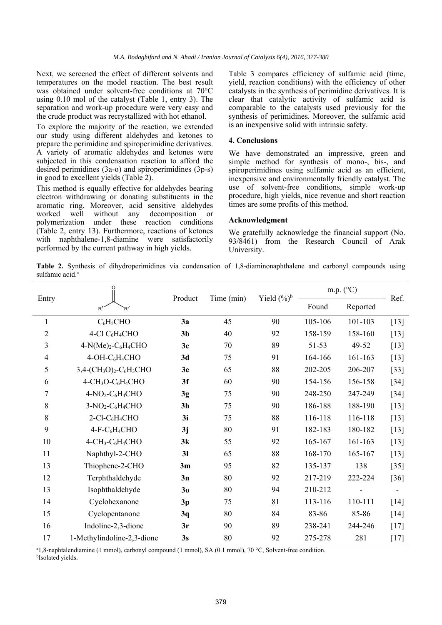Next, we screened the effect of different solvents and temperatures on the model reaction. The best result was obtained under solvent-free conditions at 70°C using 0.10 mol of the catalyst (Table 1, entry 3). The separation and work-up procedure were very easy and the crude product was recrystallized with hot ethanol.

To explore the majority of the reaction, we extended our study using different aldehydes and ketones to prepare the perimidine and spiroperimidine derivatives. A variety of aromatic aldehydes and ketones were subjected in this condensation reaction to afford the desired perimidines (3a-o) and spiroperimidines (3p-s) in good to excellent yields (Table 2).

This method is equally effective for aldehydes bearing electron withdrawing or donating substituents in the aromatic ring. Moreover, acid sensitive aldehydes worked well without any decomposition or polymerization under these reaction conditions (Table 2, entry 13). Furthermore, reactions of ketones with naphthalene-1,8-diamine were satisfactorily performed by the current pathway in high yields.

Table 3 compares efficiency of sulfamic acid (time, yield, reaction conditions) with the efficiency of other catalysts in the synthesis of perimidine derivatives. It is clear that catalytic activity of sulfamic acid is comparable to the catalysts used previously for the synthesis of perimidines. Moreover, the sulfamic acid is an inexpensive solid with intrinsic safety.

### **4. Conclusions**

We have demonstrated an impressive, green and simple method for synthesis of mono-, bis-, and spiroperimidines using sulfamic acid as an efficient, inexpensive and environmentally friendly catalyst. The use of solvent-free conditions, simple work-up procedure, high yields, nice revenue and short reaction times are some profits of this method.

# **Acknowledgment**

We gratefully acknowledge the financial support (No. 93/8461) from the Research Council of Arak University.

**Table 2.** Synthesis of dihydroperimidines via condensation of 1,8-diaminonaphthalene and carbonyl compounds using sulfamic acid.<sup>a</sup>

|                |                                                       | Product        | Time (min) | Yield $(\%)^b$ | m.p. $(^{\circ}C)$ |          |        |
|----------------|-------------------------------------------------------|----------------|------------|----------------|--------------------|----------|--------|
| Entry          | $R^1$<br>$R^2$                                        |                |            |                | Found              | Reported | Ref.   |
| $\mathbf{1}$   | $C_6H_5CHO$                                           | 3a             | 45         | 90             | 105-106            | 101-103  | $[13]$ |
| $\overline{2}$ | 4-Cl $C_6H_4CHO$                                      | 3 <sub>b</sub> | 40         | 92             | 158-159            | 158-160  | $[13]$ |
| 3              | $4-N(Me)2-C6H4CHO$                                    | 3c             | 70         | 89             | $51 - 53$          | 49-52    | $[13]$ |
| $\overline{4}$ | 4-OH-C <sub>6</sub> H <sub>4</sub> CHO                | 3d             | 75         | 91             | 164-166            | 161-163  | $[13]$ |
| 5              | $3,4-(CH3O)2-C6H3CHO$                                 | 3e             | 65         | 88             | 202-205            | 206-207  | $[33]$ |
| 6              | 4-CH <sub>3</sub> O-C <sub>6</sub> H <sub>4</sub> CHO | 3f             | 60         | 90             | 154-156            | 156-158  | $[34]$ |
| 7              | $4-NO2-C6H4CHO$                                       | 3g             | 75         | 90             | 248-250            | 247-249  | $[34]$ |
| $\,$ $\,$      | 3-NO <sub>2</sub> -C <sub>6</sub> H <sub>4</sub> CHO  | 3 <sub>h</sub> | 75         | 90             | 186-188            | 188-190  | $[13]$ |
| 8              | 2-Cl-C <sub>6</sub> H <sub>4</sub> CHO                | 3i             | 75         | 88             | 116-118            | 116-118  | $[13]$ |
| 9              | $4-F-C6H4CHO$                                         | 3j             | 80         | 91             | 182-183            | 180-182  | $[13]$ |
| 10             | $4-CH_3-C_6H_4CHO$                                    | 3k             | 55         | 92             | 165-167            | 161-163  | $[13]$ |
| 11             | Naphthyl-2-CHO                                        | 3 <sub>l</sub> | 65         | 88             | 168-170            | 165-167  | $[13]$ |
| 13             | Thiophene-2-CHO                                       | 3m             | 95         | 82             | 135-137            | 138      | $[35]$ |
| 12             | Terphthaldehyde                                       | 3n             | 80         | 92             | 217-219            | 222-224  | $[36]$ |
| 13             | Isophthaldehyde                                       | 3 <sub>0</sub> | 80         | 94             | 210-212            |          |        |
| 14             | Cyclohexanone                                         | 3p             | 75         | 81             | 113-116            | 110-111  | $[14]$ |
| 15             | Cyclopentanone                                        | 3q             | 80         | 84             | 83-86              | 85-86    | $[14]$ |
| 16             | Indoline-2,3-dione                                    | 3r             | 90         | 89             | 238-241            | 244-246  | $[17]$ |
| 17             | 1-Methylindoline-2,3-dione                            | 3s             | 80         | 92             | 275-278            | 281      | $[17]$ |

<sup>a</sup> 1,8-naphtalendiamine (1 mmol), carbonyl compound (1 mmol), SA (0.1 mmol), 70 °C, Solvent-free condition.<br><sup>b</sup>Isolated yields.